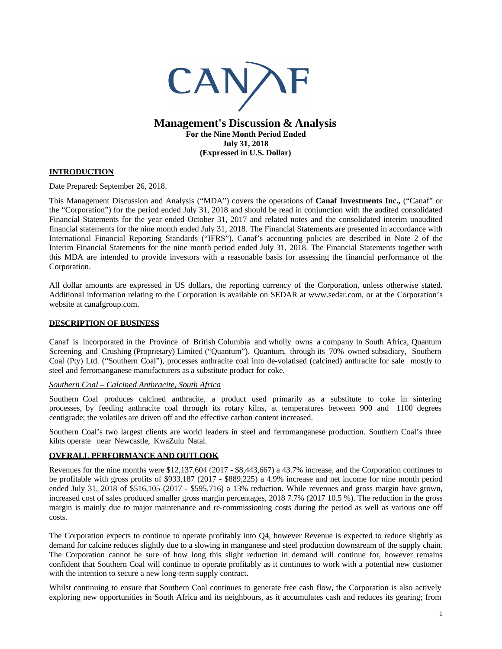

## **Management's Discussion & Analysis For the Nine Month Period Ended July 31, 2018 (Expressed in U.S. Dollar)**

## **INTRODUCTION**

Date Prepared: September 26, 2018.

This Management Discussion and Analysis ("MDA") covers the operations of **Canaf Investments Inc.,** ("Canaf" or the "Corporation") for the period ended July 31, 2018 and should be read in conjunction with the audited consolidated Financial Statements for the year ended October 31, 2017 and related notes and the consolidated interim unaudited financial statements for the nine month ended July 31, 2018. The Financial Statements are presented in accordance with International Financial Reporting Standards ("IFRS"). Canaf's accounting policies are described in Note 2 of the Interim Financial Statements for the nine month period ended July 31, 2018. The Financial Statements together with this MDA are intended to provide investors with a reasonable basis for assessing the financial performance of the Corporation.

All dollar amounts are expressed in US dollars, the reporting currency of the Corporation, unless otherwise stated. Additional information relating to the Corporation is available on SEDAR at www.sedar.com, or at the Corporation's website at canafgroup.com.

### **DESCRIPTION OF BUSINESS**

Canaf is incorporated in the Province of British Columbia and wholly owns a company in South Africa, Quantum Screening and Crushing (Proprietary) Limited ("Quantum"). Quantum, through its 70% owned subsidiary, Southern Coal (Pty) Ltd. ("Southern Coal"), processes anthracite coal into de-volatised (calcined) anthracite for sale mostly to steel and ferromanganese manufacturers as a substitute product for coke.

#### *Southern Coal – Calcined Anthracite, South Africa*

Southern Coal produces calcined anthracite, a product used primarily as a substitute to coke in sintering processes, by feeding anthracite coal through its rotary kilns, at temperatures between 900 and 1100 degrees centigrade; the volatiles are driven off and the effective carbon content increased.

Southern Coal's two largest clients are world leaders in steel and ferromanganese production. Southern Coal's three kilns operate near Newcastle, KwaZulu Natal.

## **OVERALL PERFORMANCE AND OUTLOOK**

Revenues for the nine months were \$12,137,604 (2017 - \$8,443,667) a 43.7% increase, and the Corporation continues to be profitable with gross profits of \$933,187 (2017 - \$889,225) a 4.9% increase and net income for nine month period ended July 31, 2018 of \$516,105 (2017 - \$595,716) a 13% reduction. While revenues and gross margin have grown, increased cost of sales produced smaller gross margin percentages, 2018 7.7% (2017 10.5 %). The reduction in the gross margin is mainly due to major maintenance and re-commissioning costs during the period as well as various one off costs.

The Corporation expects to continue to operate profitably into Q4, however Revenue is expected to reduce slightly as demand for calcine reduces slightly due to a slowing in manganese and steel production downstream of the supply chain. The Corporation cannot be sure of how long this slight reduction in demand will continue for, however remains confident that Southern Coal will continue to operate profitably as it continues to work with a potential new customer with the intention to secure a new long-term supply contract.

Whilst continuing to ensure that Southern Coal continues to generate free cash flow, the Corporation is also actively exploring new opportunities in South Africa and its neighbours, as it accumulates cash and reduces its gearing; from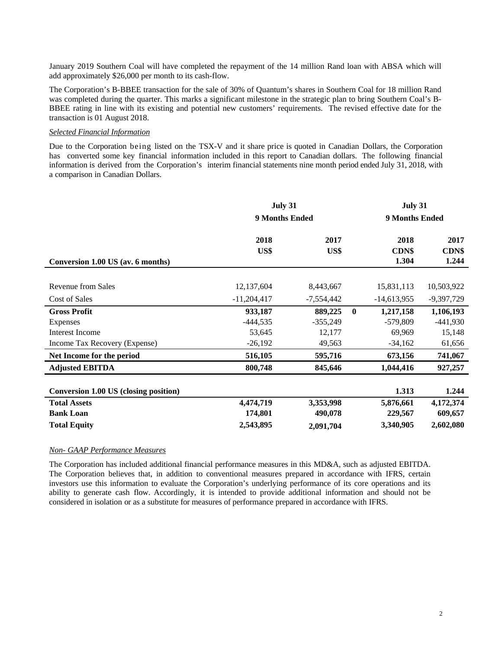January 2019 Southern Coal will have completed the repayment of the 14 million Rand loan with ABSA which will add approximately \$26,000 per month to its cash-flow.

The Corporation's B-BBEE transaction for the sale of 30% of Quantum's shares in Southern Coal for 18 million Rand was completed during the quarter. This marks a significant milestone in the strategic plan to bring Southern Coal's B-BBEE rating in line with its existing and potential new customers' requirements. The revised effective date for the transaction is 01 August 2018.

### *Selected Financial Information*

Due to the Corporation being listed on the TSX-V and it share price is quoted in Canadian Dollars, the Corporation has converted some key financial information included in this report to Canadian dollars. The following financial information is derived from the Corporation's interim financial statements nine month period ended July 31, 2018, with a comparison in Canadian Dollars.

|                                              | July 31               |              |              | July 31        |              |  |  |
|----------------------------------------------|-----------------------|--------------|--------------|----------------|--------------|--|--|
|                                              | <b>9 Months Ended</b> |              |              | 9 Months Ended |              |  |  |
|                                              | 2018                  | 2017         |              | 2018           | 2017         |  |  |
|                                              | US\$                  | US\$         |              | <b>CDN\$</b>   | <b>CDN\$</b> |  |  |
| Conversion 1.00 US (av. 6 months)            |                       |              |              | 1.304          | 1.244        |  |  |
|                                              |                       |              |              |                |              |  |  |
| <b>Revenue from Sales</b>                    | 12,137,604            | 8,443,667    |              | 15,831,113     | 10,503,922   |  |  |
| Cost of Sales                                | $-11,204,417$         | $-7,554,442$ |              | $-14,613,955$  | $-9,397,729$ |  |  |
| <b>Gross Profit</b>                          | 933,187               | 889,225      | $\mathbf{0}$ | 1,217,158      | 1,106,193    |  |  |
| Expenses                                     | $-444,535$            | $-355,249$   |              | $-579,809$     | $-441,930$   |  |  |
| <b>Interest Income</b>                       | 53,645                | 12,177       |              | 69,969         | 15,148       |  |  |
| Income Tax Recovery (Expense)                | $-26,192$             | 49,563       |              | $-34,162$      | 61,656       |  |  |
| Net Income for the period                    | 516,105               | 595,716      |              | 673,156        | 741,067      |  |  |
| <b>Adjusted EBITDA</b>                       | 800,748               | 845,646      |              | 1,044,416      | 927,257      |  |  |
|                                              |                       |              |              |                |              |  |  |
| <b>Conversion 1.00 US (closing position)</b> |                       |              |              | 1.313          | 1.244        |  |  |
| <b>Total Assets</b>                          | 4,474,719             | 3,353,998    |              | 5,876,661      | 4,172,374    |  |  |
| <b>Bank Loan</b>                             | 174,801               | 490,078      |              | 229,567        | 609,657      |  |  |
| <b>Total Equity</b>                          | 2,543,895             | 2,091,704    |              | 3,340,905      | 2,602,080    |  |  |

### *Non- GAAP Performance Measures*

The Corporation has included additional financial performance measures in this MD&A, such as adjusted EBITDA. The Corporation believes that, in addition to conventional measures prepared in accordance with IFRS, certain investors use this information to evaluate the Corporation's underlying performance of its core operations and its ability to generate cash flow. Accordingly, it is intended to provide additional information and should not be considered in isolation or as a substitute for measures of performance prepared in accordance with IFRS.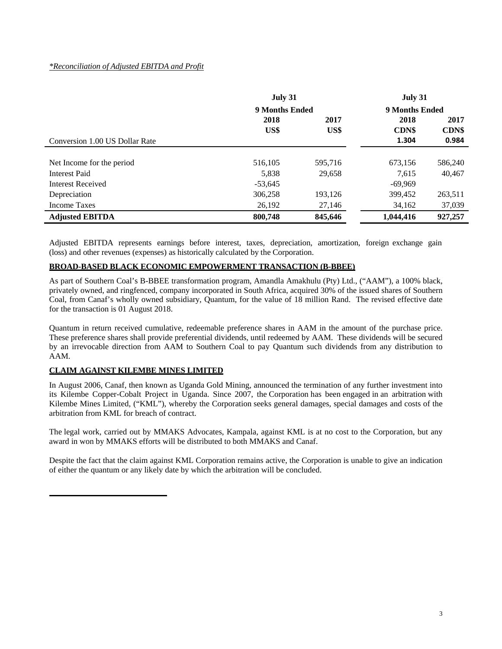## *\*Reconciliation of Adjusted EBITDA and Profit*

|                                | July 31        |         | July 31        |              |  |
|--------------------------------|----------------|---------|----------------|--------------|--|
|                                | 9 Months Ended |         | 9 Months Ended |              |  |
|                                | 2018<br>2017   |         | 2018           | 2017         |  |
|                                | US\$           | US\$    | <b>CDN\$</b>   | <b>CDN\$</b> |  |
| Conversion 1.00 US Dollar Rate |                |         | 1.304          | 0.984        |  |
|                                |                |         |                |              |  |
| Net Income for the period      | 516,105        | 595,716 | 673,156        | 586,240      |  |
| <b>Interest Paid</b>           | 5.838          | 29,658  | 7.615          | 40,467       |  |
| Interest Received              | $-53,645$      |         | $-69,969$      |              |  |
| Depreciation                   | 306,258        | 193,126 | 399,452        | 263,511      |  |
| Income Taxes                   | 26,192         | 27,146  | 34,162         | 37,039       |  |
| <b>Adjusted EBITDA</b>         | 800,748        | 845,646 | 1,044,416      | 927,257      |  |

Adjusted EBITDA represents earnings before interest, taxes, depreciation, amortization, foreign exchange gain (loss) and other revenues (expenses) as historically calculated by the Corporation.

### **BROAD-BASED BLACK ECONOMIC EMPOWERMENT TRANSACTION (B-BBEE)**

As part of Southern Coal's B-BBEE transformation program, Amandla Amakhulu (Pty) Ltd., ("AAM"), a 100% black, privately owned, and ringfenced, company incorporated in South Africa, acquired 30% of the issued shares of Southern Coal, from Canaf's wholly owned subsidiary, Quantum, for the value of 18 million Rand. The revised effective date for the transaction is 01 August 2018.

Quantum in return received cumulative, redeemable preference shares in AAM in the amount of the purchase price. These preference shares shall provide preferential dividends, until redeemed by AAM. These dividends will be secured by an irrevocable direction from AAM to Southern Coal to pay Quantum such dividends from any distribution to AAM.

## **CLAIM AGAINST KILEMBE MINES LIMITED**

In August 2006, Canaf, then known as Uganda Gold Mining, announced the termination of any further investment into its Kilembe Copper-Cobalt Project in Uganda. Since 2007, the Corporation has been engaged in an arbitration with Kilembe Mines Limited, ("KML"), whereby the Corporation seeks general damages, special damages and costs of the arbitration from KML for breach of contract.

The legal work, carried out by MMAKS Advocates, Kampala, against KML is at no cost to the Corporation, but any award in won by MMAKS efforts will be distributed to both MMAKS and Canaf.

Despite the fact that the claim against KML Corporation remains active, the Corporation is unable to give an indication of either the quantum or any likely date by which the arbitration will be concluded.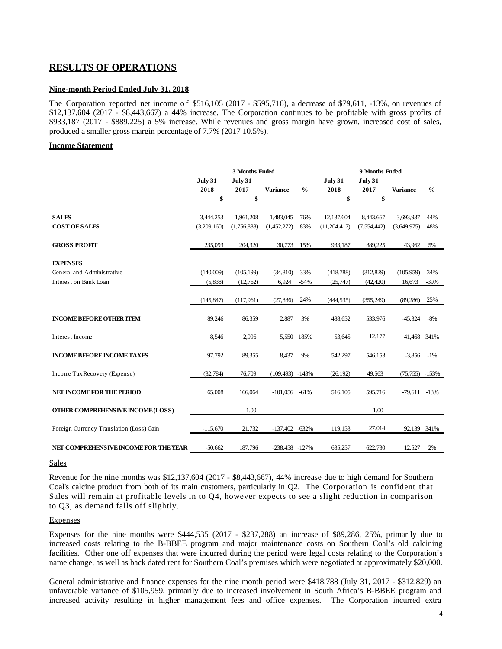# **RESULTS OF OPERATIONS**

### **Nine-month Period Ended July 31, 2018**

The Corporation reported net income of \$516,105 (2017 - \$595,716), a decrease of \$79,611, -13%, on revenues of \$12,137,604 (2017 - \$8,443,667) a 44% increase. The Corporation continues to be profitable with gross profits of \$933,187 (2017 - \$889,225) a 5% increase. While revenues and gross margin have grown, increased cost of sales, produced a smaller gross margin percentage of 7.7% (2017 10.5%).

#### **Income Statement**

|                                          | 3 Months Ended         |                 |                     | 9 Months Ended |                        |                        |                   |               |
|------------------------------------------|------------------------|-----------------|---------------------|----------------|------------------------|------------------------|-------------------|---------------|
|                                          | <b>July 31</b><br>2018 | July 31<br>2017 | <b>Variance</b>     | $\frac{0}{0}$  | <b>July 31</b><br>2018 | <b>July 31</b><br>2017 | <b>Variance</b>   | $\frac{0}{0}$ |
|                                          | \$                     | \$              |                     |                | \$                     | \$                     |                   |               |
| <b>SALES</b>                             | 3,444,253              | 1,961,208       | 1,483,045           | 76%            | 12,137,604             | 8,443,667              | 3,693,937         | 44%           |
| <b>COST OF SALES</b>                     | (3,209,160)            | (1,756,888)     | (1,452,272)         | 83%            | (11,204,417)           | (7,554,442)            | (3,649,975)       | 48%           |
| <b>GROSS PROFIT</b>                      | 235,093                | 204,320         | 30,773              | 15%            | 933,187                | 889,225                | 43,962            | 5%            |
| <b>EXPENSES</b>                          |                        |                 |                     |                |                        |                        |                   |               |
| General and Administrative               | (140,009)              | (105, 199)      | (34,810)            | 33%            | (418, 788)             | (312,829)              | (105,959)         | 34%           |
| Interest on Bank Loan                    | (5,838)                | (12,762)        | 6,924               | $-54%$         | (25,747)               | (42, 420)              | 16,673            | $-39%$        |
|                                          | (145, 847)             | (117,961)       | (27, 886)           | 24%            | (444, 535)             | (355, 249)             | (89, 286)         | 25%           |
| <b>INCOME BEFORE OTHER ITEM</b>          | 89,246                 | 86,359          | 2,887               | 3%             | 488,652                | 533,976                | $-45,324$         | $-8%$         |
| Interest Income                          | 8,546                  | 2,996           | 5,550               | 185%           | 53,645                 | 12,177                 | 41,468 341%       |               |
| <b>INCOME BEFORE INCOME TAXES</b>        | 97,792                 | 89,355          | 8,437               | 9%             | 542,297                | 546,153                | $-3,856$          | $-1\%$        |
| Income Tax Recovery (Expense)            | (32, 784)              | 76,709          | $(109, 493) -143%$  |                | (26, 192)              | 49,563                 | $(75, 755) -153%$ |               |
| NET INCOME FOR THE PERIOD                | 65,008                 | 166,064         | $-101,056$ $-61\%$  |                | 516,105                | 595,716                | $-79,611 -13%$    |               |
| OTHER COMPREHENSIVE INCOME (LOSS)        |                        | 1.00            |                     |                |                        | 1.00                   |                   |               |
| Foreign Currency Translation (Loss) Gain | $-115,670$             | 21,732          | $-137,402$ $-632\%$ |                | 119,153                | 27,014                 | 92,139 341%       |               |
| NET COMPREHENSIVE INCOME FOR THE YEAR    | $-50.662$              | 187,796         | $-238.458 - 127%$   |                | 635,257                | 622,730                | 12,527            | 2%            |

#### **Sales**

Revenue for the nine months was \$12,137,604 (2017 - \$8,443,667), 44% increase due to high demand for Southern Coal's calcine product from both of its main customers, particularly in Q2. The Corporation is confident that Sales will remain at profitable levels in to Q4, however expects to see a slight reduction in comparison to Q3, as demand falls off slightly.

#### Expenses

Expenses for the nine months were \$444,535 (2017 - \$237,288) an increase of \$89,286, 25%, primarily due to increased costs relating to the B-BBEE program and major maintenance costs on Southern Coal's old calcining facilities. Other one off expenses that were incurred during the period were legal costs relating to the Corporation's name change, as well as back dated rent for Southern Coal's premises which were negotiated at approximately \$20,000.

General administrative and finance expenses for the nine month period were \$418,788 (July 31, 2017 - \$312,829) an unfavorable variance of \$105,959, primarily due to increased involvement in South Africa's B-BBEE program and increased activity resulting in higher management fees and office expenses. The Corporation incurred extra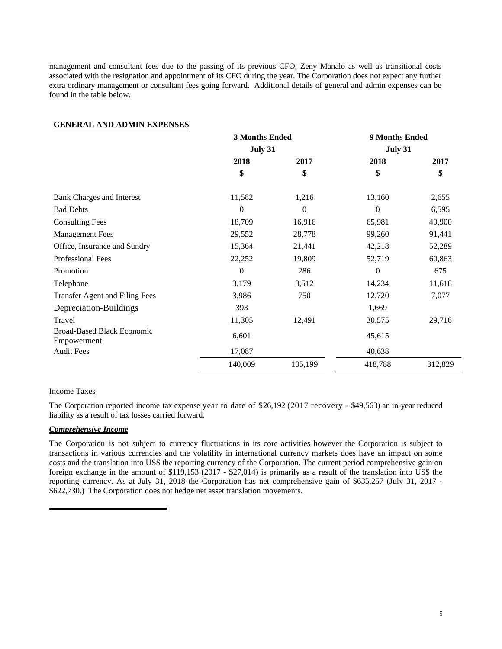management and consultant fees due to the passing of its previous CFO, Zeny Manalo as well as transitional costs associated with the resignation and appointment of its CFO during the year. The Corporation does not expect any further extra ordinary management or consultant fees going forward. Additional details of general and admin expenses can be found in the table below.

### **GENERAL AND ADMIN EXPENSES**

|                                                  | <b>3 Months Ended</b> |                  | 9 Months Ended |         |  |  |  |
|--------------------------------------------------|-----------------------|------------------|----------------|---------|--|--|--|
|                                                  | July 31               |                  | July 31        |         |  |  |  |
|                                                  | 2018                  | 2017             | 2018           | 2017    |  |  |  |
|                                                  | \$                    | \$               | \$             | \$      |  |  |  |
| <b>Bank Charges and Interest</b>                 | 11,582                | 1,216            | 13,160         | 2,655   |  |  |  |
| <b>Bad Debts</b>                                 | $\theta$              | $\boldsymbol{0}$ | $\Omega$       | 6,595   |  |  |  |
| <b>Consulting Fees</b>                           | 18,709                | 16,916           | 65,981         | 49,900  |  |  |  |
| <b>Management Fees</b>                           | 29,552                | 28,778           | 99,260         | 91,441  |  |  |  |
| Office, Insurance and Sundry                     | 15,364                | 21,441           | 42,218         | 52,289  |  |  |  |
| Professional Fees                                | 22,252                | 19,809           | 52,719         | 60,863  |  |  |  |
| Promotion                                        | $\theta$              | 286              | $\theta$       | 675     |  |  |  |
| Telephone                                        | 3,179                 | 3,512            | 14,234         | 11,618  |  |  |  |
| Transfer Agent and Filing Fees                   | 3,986                 | 750              | 12,720         | 7,077   |  |  |  |
| Depreciation-Buildings                           | 393                   |                  | 1,669          |         |  |  |  |
| Travel                                           | 11,305                | 12,491           | 30,575         | 29,716  |  |  |  |
| <b>Broad-Based Black Economic</b><br>Empowerment | 6,601                 |                  | 45,615         |         |  |  |  |
| <b>Audit Fees</b>                                | 17,087                |                  | 40,638         |         |  |  |  |
|                                                  | 140,009               | 105,199          | 418,788        | 312,829 |  |  |  |

### Income Taxes

The Corporation reported income tax expense year to date of \$26,192 (2017 recovery - \$49,563) an in-year reduced liability as a result of tax losses carried forward.

## *Comprehensive Income*

The Corporation is not subject to currency fluctuations in its core activities however the Corporation is subject to transactions in various currencies and the volatility in international currency markets does have an impact on some costs and the translation into US\$ the reporting currency of the Corporation. The current period comprehensive gain on foreign exchange in the amount of \$119,153 (2017 - \$27,014) is primarily as a result of the translation into US\$ the reporting currency. As at July 31, 2018 the Corporation has net comprehensive gain of \$635,257 (July 31, 2017 - \$622,730.) The Corporation does not hedge net asset translation movements.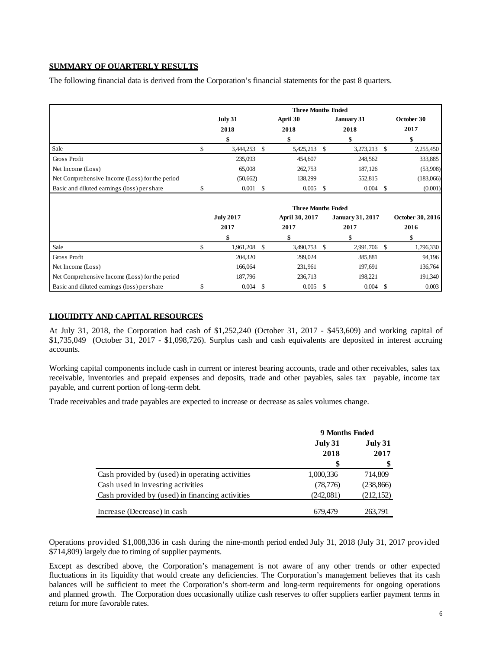## **SUMMARY OF QUARTERLY RESULTS**

The following financial data is derived from the Corporation's financial statements for the past 8 quarters.

|                                                |                 |                  |          | <b>Three Months Ended</b> |               |                         |            |                  |
|------------------------------------------------|-----------------|------------------|----------|---------------------------|---------------|-------------------------|------------|------------------|
|                                                | July 31<br>2018 |                  | April 30 | January 31                |               |                         | October 30 |                  |
|                                                |                 |                  | 2018     |                           | 2018          |                         | 2017       |                  |
|                                                |                 | \$               |          | \$                        |               | \$                      |            | \$               |
| Sale                                           | \$              | 3,444,253        | - \$     | 5,425,213                 | \$            | 3,273,213 \$            |            | 2,255,450        |
| Gross Profit                                   |                 | 235,093          |          | 454,607                   |               | 248,562                 |            | 333,885          |
| Net Income (Loss)                              |                 | 65,008           |          | 262,753                   |               | 187,126                 |            | (53,908)         |
| Net Comprehensive Income (Loss) for the period |                 | (50,662)         |          | 138,299                   |               | 552,815                 |            | (183,066)        |
| Basic and diluted earnings (loss) per share    | \$              | 0.001            | -S       | 0.005                     | <sup>\$</sup> | $0.004$ \$              |            | (0.001)          |
|                                                |                 |                  |          | <b>Three Months Ended</b> |               |                         |            |                  |
|                                                |                 | <b>July 2017</b> |          | April 30, 2017            |               | <b>January 31, 2017</b> |            | October 30, 2016 |
|                                                |                 | 2017             |          | 2017                      |               | 2017                    |            | 2016             |
|                                                |                 | \$               |          | \$                        |               | \$                      |            | \$               |
| Sale                                           | \$              | 1,961,208        | -S       | 3,490,753                 | <sup>\$</sup> | 2,991,706 \$            |            | 1,796,330        |
| Gross Profit                                   |                 | 204,320          |          | 299,024                   |               | 385,881                 |            | 94,196           |
| Net Income (Loss)                              |                 | 166,064          |          | 231,961                   |               | 197,691                 |            | 136,764          |
| Net Comprehensive Income (Loss) for the period |                 | 187,796          |          | 236,713                   |               | 198,221                 |            | 191,340          |
| Basic and diluted earnings (loss) per share    | \$.             | 0.004            | -S       | 0.005                     | <sup>\$</sup> | 0.004                   | -S         | 0.003            |

### **LIQUIDITY AND CAPITAL RESOURCES**

At July 31, 2018, the Corporation had cash of \$1,252,240 (October 31, 2017 - \$453,609) and working capital of \$1,735,049 (October 31, 2017 - \$1,098,726). Surplus cash and cash equivalents are deposited in interest accruing accounts.

Working capital components include cash in current or interest bearing accounts, trade and other receivables, sales tax receivable, inventories and prepaid expenses and deposits, trade and other payables, sales tax payable, income tax payable, and current portion of long-term debt.

Trade receivables and trade payables are expected to increase or decrease as sales volumes change.

|                                                 | 9 Months Ended |            |  |
|-------------------------------------------------|----------------|------------|--|
|                                                 | July 31        | July 31    |  |
|                                                 | 2018           | 2017       |  |
|                                                 | \$             |            |  |
| Cash provided by (used) in operating activities | 1,000,336      | 714,809    |  |
| Cash used in investing activities               | (78, 776)      | (238, 866) |  |
| Cash provided by (used) in financing activities | (242,081)      | (212, 152) |  |
| Increase (Decrease) in cash                     | 679.479        | 263,791    |  |

Operations provided \$1,008,336 in cash during the nine-month period ended July 31, 2018 (July 31, 2017 provided \$714,809) largely due to timing of supplier payments.

Except as described above, the Corporation's management is not aware of any other trends or other expected fluctuations in its liquidity that would create any deficiencies. The Corporation's management believes that its cash balances will be sufficient to meet the Corporation's short-term and long-term requirements for ongoing operations and planned growth. The Corporation does occasionally utilize cash reserves to offer suppliers earlier payment terms in return for more favorable rates.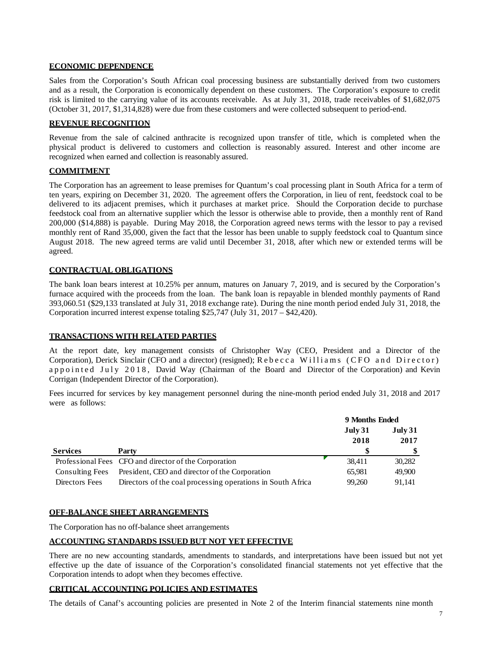### **ECONOMIC DEPENDENCE**

Sales from the Corporation's South African coal processing business are substantially derived from two customers and as a result, the Corporation is economically dependent on these customers. The Corporation's exposure to credit risk is limited to the carrying value of its accounts receivable. As at July 31, 2018, trade receivables of \$1,682,075 (October 31, 2017, \$1,314,828) were due from these customers and were collected subsequent to period-end.

### **REVENUE RECOGNITION**

Revenue from the sale of calcined anthracite is recognized upon transfer of title, which is completed when the physical product is delivered to customers and collection is reasonably assured. Interest and other income are recognized when earned and collection is reasonably assured.

## **COMMITMENT**

The Corporation has an agreement to lease premises for Quantum's coal processing plant in South Africa for a term of ten years, expiring on December 31, 2020. The agreement offers the Corporation, in lieu of rent, feedstock coal to be delivered to its adjacent premises, which it purchases at market price. Should the Corporation decide to purchase feedstock coal from an alternative supplier which the lessor is otherwise able to provide, then a monthly rent of Rand 200,000 (\$14,888) is payable. During May 2018, the Corporation agreed news terms with the lessor to pay a revised monthly rent of Rand 35,000, given the fact that the lessor has been unable to supply feedstock coal to Quantum since August 2018. The new agreed terms are valid until December 31, 2018, after which new or extended terms will be agreed.

## **CONTRACTUAL OBLIGATIONS**

The bank loan bears interest at 10.25% per annum, matures on January 7, 2019, and is secured by the Corporation's furnace acquired with the proceeds from the loan. The bank loan is repayable in blended monthly payments of Rand 393,060.51 (\$29,133 translated at July 31, 2018 exchange rate). During the nine month period ended July 31, 2018, the Corporation incurred interest expense totaling \$25,747 (July 31, 2017 – \$42,420).

## **TRANSACTIONS WITH RELATED PARTIES**

At the report date, key management consists of Christopher Way (CEO, President and a Director of the Corporation), Derick Sinclair (CFO and a director) (resigned); Rebecca Williams (CFO and Director) appointed July 2018, David Way (Chairman of the Board and Director of the Corporation) and Kevin Corrigan (Independent Director of the Corporation).

Fees incurred for services by key management personnel during the nine-month period ended July 31, 2018 and 2017 were as follows:

|                 |                                                             | 9 Months Ended  |                 |
|-----------------|-------------------------------------------------------------|-----------------|-----------------|
|                 |                                                             | July 31<br>2018 | July 31<br>2017 |
| <b>Services</b> | Party                                                       |                 |                 |
|                 | Professional Fees CFO and director of the Corporation       | 38,411          | 30,282          |
| Consulting Fees | President, CEO and director of the Corporation              | 65,981          | 49,900          |
| Directors Fees  | Directors of the coal processing operations in South Africa | 99.260          | 91.141          |

#### **OFF-BALANCE SHEET ARRANGEMENTS**

The Corporation has no off-balance sheet arrangements

## **ACCOUNTING STANDARDS ISSUED BUT NOT YET EFFECTIVE**

There are no new accounting standards, amendments to standards, and interpretations have been issued but not yet effective up the date of issuance of the Corporation's consolidated financial statements not yet effective that the Corporation intends to adopt when they becomes effective.

## **CRITICAL ACCOUNTING POLICIES AND ESTIMATES**

The details of Canaf's accounting policies are presented in Note 2 of the Interim financial statements nine month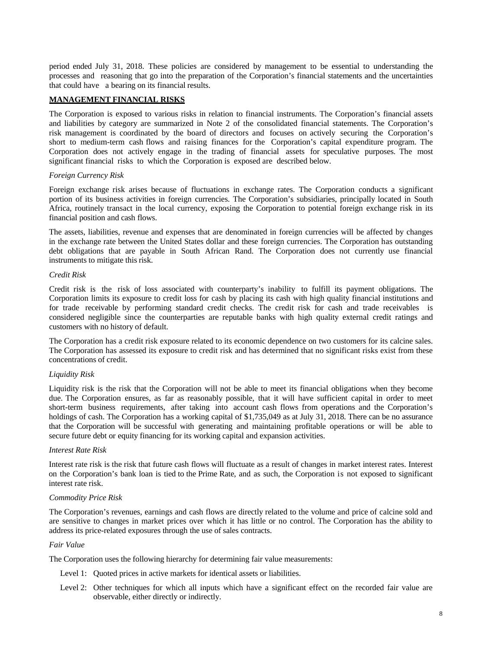period ended July 31, 2018. These policies are considered by management to be essential to understanding the processes and reasoning that go into the preparation of the Corporation's financial statements and the uncertainties that could have a bearing on its financial results.

## **MANAGEMENT FINANCIAL RISKS**

The Corporation is exposed to various risks in relation to financial instruments. The Corporation's financial assets and liabilities by category are summarized in Note 2 of the consolidated financial statements. The Corporation's risk management is coordinated by the board of directors and focuses on actively securing the Corporation's short to medium-term cash flows and raising finances for the Corporation's capital expenditure program. The Corporation does not actively engage in the trading of financial assets for speculative purposes. The most significant financial risks to which the Corporation is exposed are described below.

### *Foreign Currency Risk*

Foreign exchange risk arises because of fluctuations in exchange rates. The Corporation conducts a significant portion of its business activities in foreign currencies. The Corporation's subsidiaries, principally located in South Africa, routinely transact in the local currency, exposing the Corporation to potential foreign exchange risk in its financial position and cash flows.

The assets, liabilities, revenue and expenses that are denominated in foreign currencies will be affected by changes in the exchange rate between the United States dollar and these foreign currencies. The Corporation has outstanding debt obligations that are payable in South African Rand. The Corporation does not currently use financial instruments to mitigate this risk.

### *Credit Risk*

Credit risk is the risk of loss associated with counterparty's inability to fulfill its payment obligations. The Corporation limits its exposure to credit loss for cash by placing its cash with high quality financial institutions and for trade receivable by performing standard credit checks. The credit risk for cash and trade receivables is considered negligible since the counterparties are reputable banks with high quality external credit ratings and customers with no history of default.

The Corporation has a credit risk exposure related to its economic dependence on two customers for its calcine sales. The Corporation has assessed its exposure to credit risk and has determined that no significant risks exist from these concentrations of credit.

#### *Liquidity Risk*

Liquidity risk is the risk that the Corporation will not be able to meet its financial obligations when they become due. The Corporation ensures, as far as reasonably possible, that it will have sufficient capital in order to meet short-term business requirements, after taking into account cash flows from operations and the Corporation's holdings of cash. The Corporation has a working capital of \$1,735,049 as at July 31, 2018. There can be no assurance that the Corporation will be successful with generating and maintaining profitable operations or will be able to secure future debt or equity financing for its working capital and expansion activities.

### *Interest Rate Risk*

Interest rate risk is the risk that future cash flows will fluctuate as a result of changes in market interest rates. Interest on the Corporation's bank loan is tied to the Prime Rate, and as such, the Corporation is not exposed to significant interest rate risk.

#### *Commodity Price Risk*

The Corporation's revenues, earnings and cash flows are directly related to the volume and price of calcine sold and are sensitive to changes in market prices over which it has little or no control. The Corporation has the ability to address its price-related exposures through the use of sales contracts.

## *Fair Value*

The Corporation uses the following hierarchy for determining fair value measurements:

- Level 1: Quoted prices in active markets for identical assets or liabilities.
- Level 2: Other techniques for which all inputs which have a significant effect on the recorded fair value are observable, either directly or indirectly.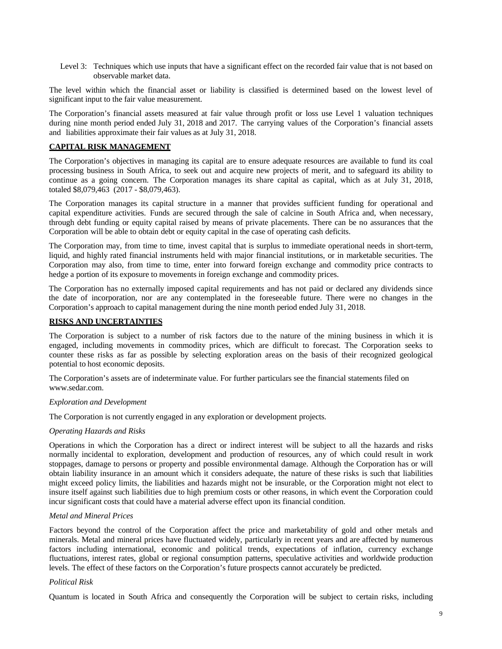Level 3: Techniques which use inputs that have a significant effect on the recorded fair value that is not based on observable market data.

The level within which the financial asset or liability is classified is determined based on the lowest level of significant input to the fair value measurement.

The Corporation's financial assets measured at fair value through profit or loss use Level 1 valuation techniques during nine month period ended July 31, 2018 and 2017. The carrying values of the Corporation's financial assets and liabilities approximate their fair values as at July 31, 2018.

### **CAPITAL RISK MANAGEMENT**

The Corporation's objectives in managing its capital are to ensure adequate resources are available to fund its coal processing business in South Africa, to seek out and acquire new projects of merit, and to safeguard its ability to continue as a going concern. The Corporation manages its share capital as capital, which as at July 31, 2018, totaled \$8,079,463 (2017 - \$8,079,463).

The Corporation manages its capital structure in a manner that provides sufficient funding for operational and capital expenditure activities. Funds are secured through the sale of calcine in South Africa and, when necessary, through debt funding or equity capital raised by means of private placements. There can be no assurances that the Corporation will be able to obtain debt or equity capital in the case of operating cash deficits.

The Corporation may, from time to time, invest capital that is surplus to immediate operational needs in short-term, liquid, and highly rated financial instruments held with major financial institutions, or in marketable securities. The Corporation may also, from time to time, enter into forward foreign exchange and commodity price contracts to hedge a portion of its exposure to movements in foreign exchange and commodity prices.

The Corporation has no externally imposed capital requirements and has not paid or declared any dividends since the date of incorporation, nor are any contemplated in the foreseeable future. There were no changes in the Corporation's approach to capital management during the nine month period ended July 31, 2018.

### **RISKS AND UNCERTAINTIES**

The Corporation is subject to a number of risk factors due to the nature of the mining business in which it is engaged, including movements in commodity prices, which are difficult to forecast. The Corporation seeks to counter these risks as far as possible by selecting exploration areas on the basis of their recognized geological potential to host economic deposits.

The Corporation's assets are of indeterminate value. For further particulars see the financial statements filed o[n](http://www.sedar.com/) [www.sedar.com.](http://www.sedar.com/)

#### *Exploration and Development*

The Corporation is not currently engaged in any exploration or development projects.

#### *Operating Hazards and Risks*

Operations in which the Corporation has a direct or indirect interest will be subject to all the hazards and risks normally incidental to exploration, development and production of resources, any of which could result in work stoppages, damage to persons or property and possible environmental damage. Although the Corporation has or will obtain liability insurance in an amount which it considers adequate, the nature of these risks is such that liabilities might exceed policy limits, the liabilities and hazards might not be insurable, or the Corporation might not elect to insure itself against such liabilities due to high premium costs or other reasons, in which event the Corporation could incur significant costs that could have a material adverse effect upon its financial condition.

#### *Metal and Mineral Prices*

Factors beyond the control of the Corporation affect the price and marketability of gold and other metals and minerals. Metal and mineral prices have fluctuated widely, particularly in recent years and are affected by numerous factors including international, economic and political trends, expectations of inflation, currency exchange fluctuations, interest rates, global or regional consumption patterns, speculative activities and worldwide production levels. The effect of these factors on the Corporation's future prospects cannot accurately be predicted.

#### *Political Risk*

Quantum is located in South Africa and consequently the Corporation will be subject to certain risks, including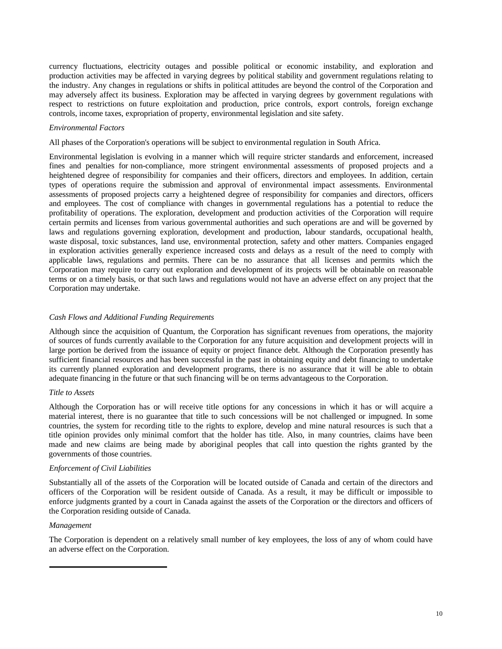currency fluctuations, electricity outages and possible political or economic instability, and exploration and production activities may be affected in varying degrees by political stability and government regulations relating to the industry. Any changes in regulations or shifts in political attitudes are beyond the control of the Corporation and may adversely affect its business. Exploration may be affected in varying degrees by government regulations with respect to restrictions on future exploitation and production, price controls, export controls, foreign exchange controls, income taxes, expropriation of property, environmental legislation and site safety.

### *Environmental Factors*

All phases of the Corporation's operations will be subject to environmental regulation in South Africa.

Environmental legislation is evolving in a manner which will require stricter standards and enforcement, increased fines and penalties for non-compliance, more stringent environmental assessments of proposed projects and a heightened degree of responsibility for companies and their officers, directors and employees. In addition, certain types of operations require the submission and approval of environmental impact assessments. Environmental assessments of proposed projects carry a heightened degree of responsibility for companies and directors, officers and employees. The cost of compliance with changes in governmental regulations has a potential to reduce the profitability of operations. The exploration, development and production activities of the Corporation will require certain permits and licenses from various governmental authorities and such operations are and will be governed by laws and regulations governing exploration, development and production, labour standards, occupational health, waste disposal, toxic substances, land use, environmental protection, safety and other matters. Companies engaged in exploration activities generally experience increased costs and delays as a result of the need to comply with applicable laws, regulations and permits. There can be no assurance that all licenses and permits which the Corporation may require to carry out exploration and development of its projects will be obtainable on reasonable terms or on a timely basis, or that such laws and regulations would not have an adverse effect on any project that the Corporation may undertake.

#### *Cash Flows and Additional Funding Requirements*

Although since the acquisition of Quantum, the Corporation has significant revenues from operations, the majority of sources of funds currently available to the Corporation for any future acquisition and development projects will in large portion be derived from the issuance of equity or project finance debt. Although the Corporation presently has sufficient financial resources and has been successful in the past in obtaining equity and debt financing to undertake its currently planned exploration and development programs, there is no assurance that it will be able to obtain adequate financing in the future or that such financing will be on terms advantageous to the Corporation.

### *Title to Assets*

Although the Corporation has or will receive title options for any concessions in which it has or will acquire a material interest, there is no guarantee that title to such concessions will be not challenged or impugned. In some countries, the system for recording title to the rights to explore, develop and mine natural resources is such that a title opinion provides only minimal comfort that the holder has title. Also, in many countries, claims have been made and new claims are being made by aboriginal peoples that call into question the rights granted by the governments of those countries.

#### *Enforcement of Civil Liabilities*

Substantially all of the assets of the Corporation will be located outside of Canada and certain of the directors and officers of the Corporation will be resident outside of Canada. As a result, it may be difficult or impossible to enforce judgments granted by a court in Canada against the assets of the Corporation or the directors and officers of the Corporation residing outside of Canada.

### *Management*

The Corporation is dependent on a relatively small number of key employees, the loss of any of whom could have an adverse effect on the Corporation.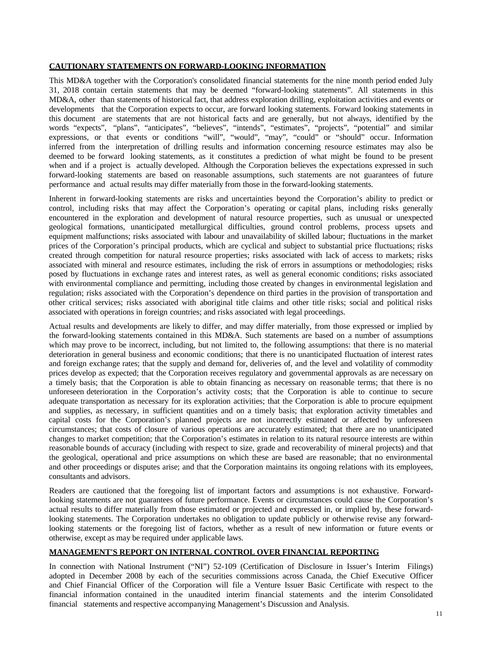### **CAUTIONARY STATEMENTS ON FORWARD-LOOKING INFORMATION**

This MD&A together with the Corporation's consolidated financial statements for the nine month period ended July 31, 2018 contain certain statements that may be deemed "forward-looking statements". All statements in this MD&A, other than statements of historical fact, that address exploration drilling, exploitation activities and events or developments that the Corporation expects to occur, are forward looking statements. Forward looking statements in this document are statements that are not historical facts and are generally, but not always, identified by the words "expects", "plans", "anticipates", "believes", "intends", "estimates", "projects", "potential" and similar expressions, or that events or conditions "will", "would", "may", "could" or "should" occur. Information inferred from the interpretation of drilling results and information concerning resource estimates may also be deemed to be forward looking statements, as it constitutes a prediction of what might be found to be present when and if a project is actually developed. Although the Corporation believes the expectations expressed in such forward-looking statements are based on reasonable assumptions, such statements are not guarantees of future performance and actual results may differ materially from those in the forward-looking statements.

Inherent in forward-looking statements are risks and uncertainties beyond the Corporation's ability to predict or control, including risks that may affect the Corporation's operating or capital plans, including risks generally encountered in the exploration and development of natural resource properties, such as unusual or unexpected geological formations, unanticipated metallurgical difficulties, ground control problems, process upsets and equipment malfunctions; risks associated with labour and unavailability of skilled labour; fluctuations in the market prices of the Corporation's principal products, which are cyclical and subject to substantial price fluctuations; risks created through competition for natural resource properties; risks associated with lack of access to markets; risks associated with mineral and resource estimates, including the risk of errors in assumptions or methodologies; risks posed by fluctuations in exchange rates and interest rates, as well as general economic conditions; risks associated with environmental compliance and permitting, including those created by changes in environmental legislation and regulation; risks associated with the Corporation's dependence on third parties in the provision of transportation and other critical services; risks associated with aboriginal title claims and other title risks; social and political risks associated with operations in foreign countries; and risks associated with legal proceedings.

Actual results and developments are likely to differ, and may differ materially, from those expressed or implied by the forward-looking statements contained in this MD&A. Such statements are based on a number of assumptions which may prove to be incorrect, including, but not limited to, the following assumptions: that there is no material deterioration in general business and economic conditions; that there is no unanticipated fluctuation of interest rates and foreign exchange rates; that the supply and demand for, deliveries of, and the level and volatility of commodity prices develop as expected; that the Corporation receives regulatory and governmental approvals as are necessary on a timely basis; that the Corporation is able to obtain financing as necessary on reasonable terms; that there is no unforeseen deterioration in the Corporation's activity costs; that the Corporation is able to continue to secure adequate transportation as necessary for its exploration activities; that the Corporation is able to procure equipment and supplies, as necessary, in sufficient quantities and on a timely basis; that exploration activity timetables and capital costs for the Corporation's planned projects are not incorrectly estimated or affected by unforeseen circumstances; that costs of closure of various operations are accurately estimated; that there are no unanticipated changes to market competition; that the Corporation's estimates in relation to its natural resource interests are within reasonable bounds of accuracy (including with respect to size, grade and recoverability of mineral projects) and that the geological, operational and price assumptions on which these are based are reasonable; that no environmental and other proceedings or disputes arise; and that the Corporation maintains its ongoing relations with its employees, consultants and advisors.

Readers are cautioned that the foregoing list of important factors and assumptions is not exhaustive. Forwardlooking statements are not guarantees of future performance. Events or circumstances could cause the Corporation's actual results to differ materially from those estimated or projected and expressed in, or implied by, these forwardlooking statements. The Corporation undertakes no obligation to update publicly or otherwise revise any forwardlooking statements or the foregoing list of factors, whether as a result of new information or future events or otherwise, except as may be required under applicable laws.

## **MANAGEMENT'S REPORT ON INTERNAL CONTROL OVER FINANCIAL REPORTING**

In connection with National Instrument ("NI") 52-109 (Certification of Disclosure in Issuer's Interim Filings) adopted in December 2008 by each of the securities commissions across Canada, the Chief Executive Officer and Chief Financial Officer of the Corporation will file a Venture Issuer Basic Certificate with respect to the financial information contained in the unaudited interim financial statements and the interim Consolidated financial statements and respective accompanying Management's Discussion and Analysis.